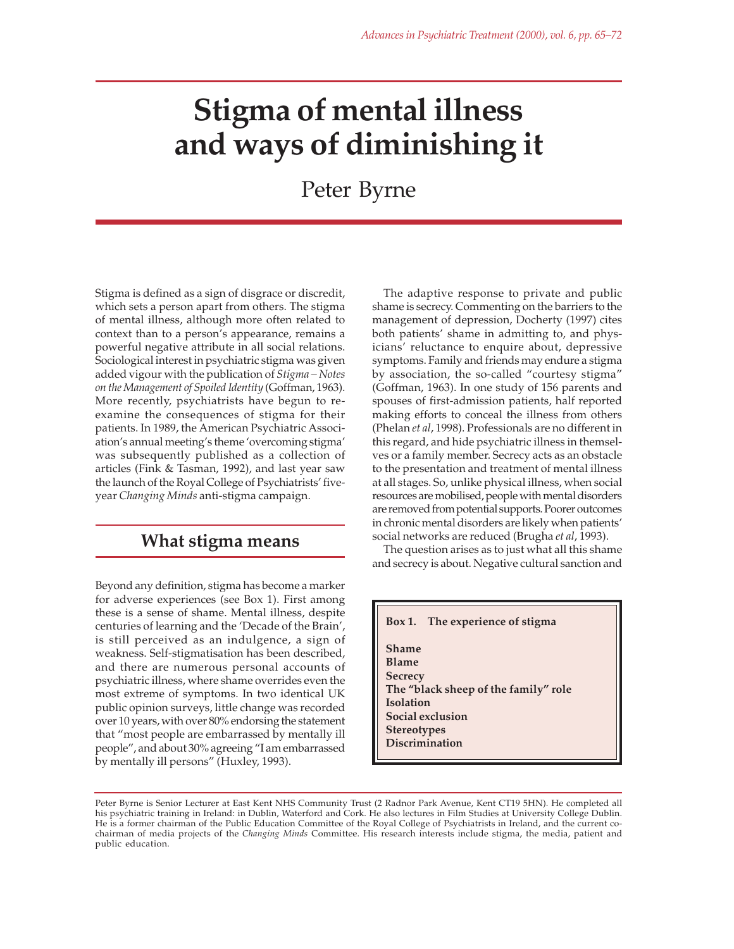# **Stigma of mental illness and ways of diminishing it**

Peter Byrne

Stigma is defined as a sign of disgrace or discredit, which sets a person apart from others. The stigma of mental illness, although more often related to context than to a person's appearance, remains a powerful negative attribute in all social relations. Sociological interest in psychiatric stigma was given added vigour with the publication of *Stigma – Notes on the Management of Spoiled Identity* (Goffman, 1963). More recently, psychiatrists have begun to reexamine the consequences of stigma for their patients. In 1989, the American Psychiatric Association's annual meeting's theme 'overcoming stigma' was subsequently published as a collection of articles (Fink & Tasman, 1992), and last year saw the launch of the Royal College of Psychiatrists' fiveyear *Changing Minds* anti-stigma campaign.

#### **What stigma means**

Beyond any definition, stigma has become a marker for adverse experiences (see Box 1). First among these is a sense of shame. Mental illness, despite centuries of learning and the 'Decade of the Brain', is still perceived as an indulgence, a sign of weakness. Self-stigmatisation has been described, and there are numerous personal accounts of psychiatric illness, where shame overrides even the most extreme of symptoms. In two identical UK public opinion surveys, little change was recorded over 10 years, with over 80% endorsing the statement that "most people are embarrassed by mentally ill people", and about 30% agreeing "I am embarrassed by mentally ill persons" (Huxley, 1993).

The adaptive response to private and public shame is secrecy. Commenting on the barriers to the management of depression, Docherty (1997) cites both patients' shame in admitting to, and physicians' reluctance to enquire about, depressive symptoms. Family and friends may endure a stigma by association, the so-called "courtesy stigma" (Goffman, 1963). In one study of 156 parents and spouses of first-admission patients, half reported making efforts to conceal the illness from others (Phelan *et al*, 1998). Professionals are no different in this regard, and hide psychiatric illness in themselves or a family member. Secrecy acts as an obstacle to the presentation and treatment of mental illness at all stages. So, unlike physical illness, when social resources are mobilised, people with mental disorders are removed from potential supports. Poorer outcomes in chronic mental disorders are likely when patients' social networks are reduced (Brugha *et al*, 1993).

The question arises as to just what all this shame and secrecy is about. Negative cultural sanction and

| Box 1.                | The experience of stigma             |
|-----------------------|--------------------------------------|
| <b>Shame</b>          |                                      |
| <b>Blame</b>          |                                      |
| <b>Secrecy</b>        |                                      |
|                       | The "black sheep of the family" role |
| <b>Isolation</b>      |                                      |
| Social exclusion      |                                      |
| <b>Stereotypes</b>    |                                      |
| <b>Discrimination</b> |                                      |
|                       |                                      |

Peter Byrne is Senior Lecturer at East Kent NHS Community Trust (2 Radnor Park Avenue, Kent CT19 5HN). He completed all his psychiatric training in Ireland: in Dublin, Waterford and Cork. He also lectures in Film Studies at University College Dublin. He is a former chairman of the Public Education Committee of the Royal College of Psychiatrists in Ireland, and the current cochairman of media projects of the *Changing Minds* Committee. His research interests include stigma, the media, patient and public education.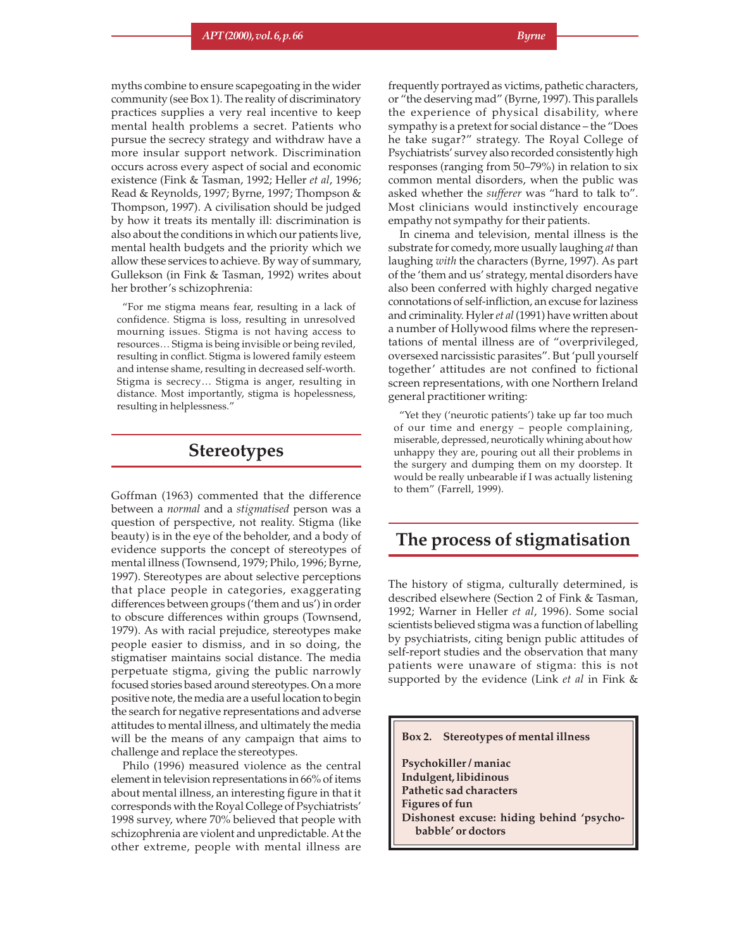myths combine to ensure scapegoating in the wider community (see Box 1). The reality of discriminatory practices supplies a very real incentive to keep mental health problems a secret. Patients who pursue the secrecy strategy and withdraw have a more insular support network. Discrimination occurs across every aspect of social and economic existence (Fink & Tasman, 1992; Heller *et al*, 1996; Read & Reynolds, 1997; Byrne, 1997; Thompson & Thompson, 1997). A civilisation should be judged by how it treats its mentally ill: discrimination is also about the conditions in which our patients live, mental health budgets and the priority which we allow these services to achieve. By way of summary, Gullekson (in Fink & Tasman, 1992) writes about her brother's schizophrenia:

"For me stigma means fear, resulting in a lack of confidence. Stigma is loss, resulting in unresolved mourning issues. Stigma is not having access to resources… Stigma is being invisible or being reviled, resulting in conflict. Stigma is lowered family esteem and intense shame, resulting in decreased self-worth. Stigma is secrecy… Stigma is anger, resulting in distance. Most importantly, stigma is hopelessness, resulting in helplessness."

### **Stereotypes**

Goffman (1963) commented that the difference between a *normal* and a *stigmatised* person was a question of perspective, not reality. Stigma (like beauty) is in the eye of the beholder, and a body of evidence supports the concept of stereotypes of mental illness (Townsend, 1979; Philo, 1996; Byrne, 1997). Stereotypes are about selective perceptions that place people in categories, exaggerating differences between groups ('them and us') in order to obscure differences within groups (Townsend, 1979). As with racial prejudice, stereotypes make people easier to dismiss, and in so doing, the stigmatiser maintains social distance. The media perpetuate stigma, giving the public narrowly focused stories based around stereotypes. On a more positive note, the media are a useful location to begin the search for negative representations and adverse attitudes to mental illness, and ultimately the media will be the means of any campaign that aims to challenge and replace the stereotypes.

Philo (1996) measured violence as the central element in television representations in 66% of items about mental illness, an interesting figure in that it corresponds with the Royal College of Psychiatrists' 1998 survey, where 70% believed that people with schizophrenia are violent and unpredictable. At the other extreme, people with mental illness are frequently portrayed as victims, pathetic characters, or "the deserving mad" (Byrne, 1997). This parallels the experience of physical disability, where sympathy is a pretext for social distance – the "Does he take sugar?" strategy. The Royal College of Psychiatrists' survey also recorded consistently high responses (ranging from 50–79%) in relation to six common mental disorders, when the public was asked whether the *sufferer* was "hard to talk to". Most clinicians would instinctively encourage empathy not sympathy for their patients.

In cinema and television, mental illness is the substrate for comedy, more usually laughing *at* than laughing *with* the characters (Byrne, 1997). As part of the 'them and us' strategy, mental disorders have also been conferred with highly charged negative connotations of self-infliction, an excuse for laziness and criminality. Hyler *et al* (1991) have written about a number of Hollywood films where the representations of mental illness are of "overprivileged, oversexed narcissistic parasites". But 'pull yourself together' attitudes are not confined to fictional screen representations, with one Northern Ireland general practitioner writing:

"Yet they ('neurotic patients') take up far too much of our time and energy – people complaining, miserable, depressed, neurotically whining about how unhappy they are, pouring out all their problems in the surgery and dumping them on my doorstep. It would be really unbearable if I was actually listening to them" (Farrell, 1999).

### **The process of stigmatisation**

The history of stigma, culturally determined, is described elsewhere (Section 2 of Fink & Tasman, 1992; Warner in Heller *et al*, 1996). Some social scientists believed stigma was a function of labelling by psychiatrists, citing benign public attitudes of self-report studies and the observation that many patients were unaware of stigma: this is not supported by the evidence (Link *et al* in Fink &

#### **Box 2. Stereotypes of mental illness**

**Psychokiller / maniac Indulgent, libidinous Pathetic sad characters Figures of fun Dishonest excuse: hiding behind 'psychobabble' or doctors**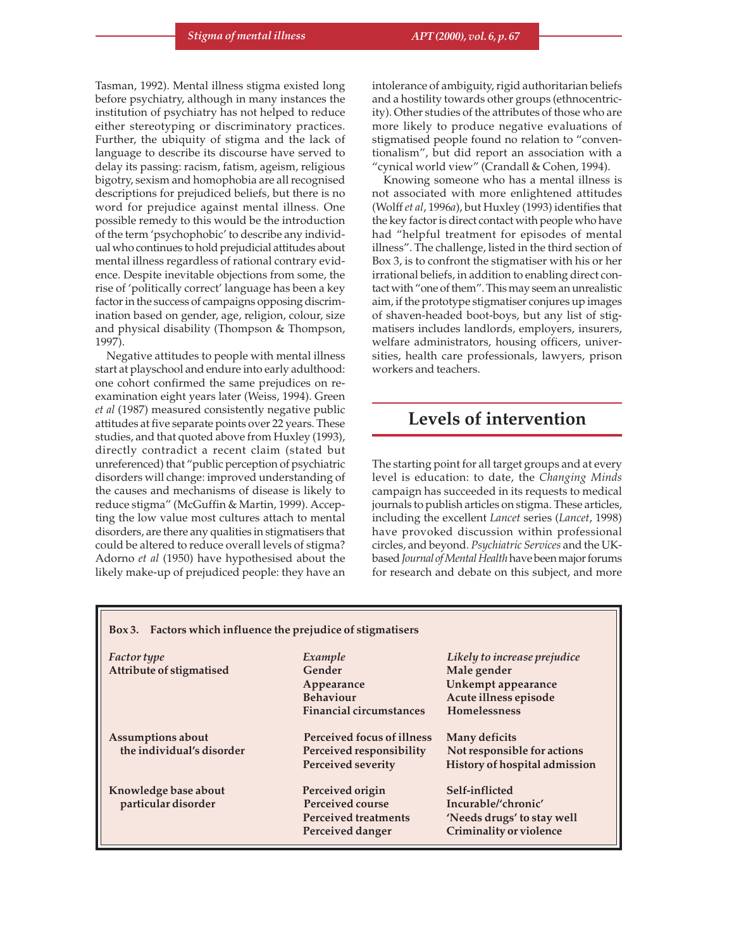Tasman, 1992). Mental illness stigma existed long before psychiatry, although in many instances the institution of psychiatry has not helped to reduce either stereotyping or discriminatory practices. Further, the ubiquity of stigma and the lack of language to describe its discourse have served to delay its passing: racism, fatism, ageism, religious bigotry, sexism and homophobia are all recognised descriptions for prejudiced beliefs, but there is no word for prejudice against mental illness. One possible remedy to this would be the introduction of the term 'psychophobic' to describe any individual who continues to hold prejudicial attitudes about mental illness regardless of rational contrary evidence. Despite inevitable objections from some, the rise of 'politically correct' language has been a key factor in the success of campaigns opposing discrimination based on gender, age, religion, colour, size and physical disability (Thompson & Thompson, 1997).

Negative attitudes to people with mental illness start at playschool and endure into early adulthood: one cohort confirmed the same prejudices on reexamination eight years later (Weiss, 1994). Green *et al* (1987) measured consistently negative public attitudes at five separate points over 22 years. These studies, and that quoted above from Huxley (1993), directly contradict a recent claim (stated but unreferenced) that "public perception of psychiatric disorders will change: improved understanding of the causes and mechanisms of disease is likely to reduce stigma" (McGuffin & Martin, 1999). Accepting the low value most cultures attach to mental disorders, are there any qualities in stigmatisers that could be altered to reduce overall levels of stigma? Adorno *et al* (1950) have hypothesised about the likely make-up of prejudiced people: they have an

intolerance of ambiguity, rigid authoritarian beliefs and a hostility towards other groups (ethnocentricity). Other studies of the attributes of those who are more likely to produce negative evaluations of stigmatised people found no relation to "conventionalism", but did report an association with a "cynical world view" (Crandall & Cohen, 1994).

Knowing someone who has a mental illness is not associated with more enlightened attitudes (Wolff *et al*, 1996*a*), but Huxley (1993) identifies that the key factor is direct contact with people who have had "helpful treatment for episodes of mental illness". The challenge, listed in the third section of Box 3, is to confront the stigmatiser with his or her irrational beliefs, in addition to enabling direct contact with "one of them". This may seem an unrealistic aim, if the prototype stigmatiser conjures up images of shaven-headed boot-boys, but any list of stigmatisers includes landlords, employers, insurers, welfare administrators, housing officers, universities, health care professionals, lawyers, prison workers and teachers.

# **Levels of intervention**

The starting point for all target groups and at every level is education: to date, the *Changing Minds* campaign has succeeded in its requests to medical journals to publish articles on stigma. These articles, including the excellent *Lancet* series (*Lancet*, 1998) have provoked discussion within professional circles, and beyond. *Psychiatric Services* and the UKbased *Journal of Mental Health* have been major forums for research and debate on this subject, and more

| Box 3. Factors which influence the prejudice of stigmatisers |                                                                                         |                                                                                                                   |  |  |  |  |
|--------------------------------------------------------------|-----------------------------------------------------------------------------------------|-------------------------------------------------------------------------------------------------------------------|--|--|--|--|
| <b>Factor</b> type<br>Attribute of stigmatised               | Example<br>Gender<br>Appearance<br><b>Behaviour</b><br><b>Financial circumstances</b>   | Likely to increase prejudice<br>Male gender<br>Unkempt appearance<br>Acute illness episode<br><b>Homelessness</b> |  |  |  |  |
| <b>Assumptions about</b><br>the individual's disorder        | <b>Perceived focus of illness</b><br>Perceived responsibility<br>Perceived severity     | Many deficits<br>Not responsible for actions<br>History of hospital admission                                     |  |  |  |  |
| Knowledge base about<br>particular disorder                  | Perceived origin<br>Perceived course<br><b>Perceived treatments</b><br>Perceived danger | Self-inflicted<br>Incurable/'chronic'<br>'Needs drugs' to stay well<br><b>Criminality or violence</b>             |  |  |  |  |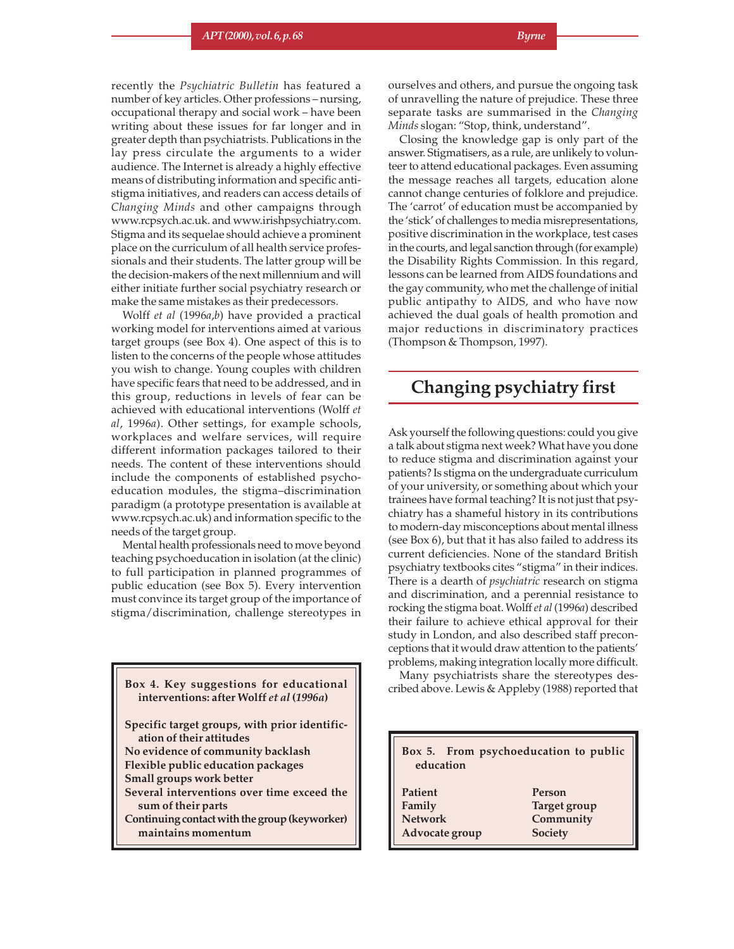recently the *Psychiatric Bulletin* has featured a number of key articles. Other professions – nursing, occupational therapy and social work – have been writing about these issues for far longer and in greater depth than psychiatrists. Publications in the lay press circulate the arguments to a wider audience. The Internet is already a highly effective means of distributing information and specific antistigma initiatives, and readers can access details of *Changing Minds* and other campaigns through www.rcpsych.ac.uk. and www.irishpsychiatry.com. Stigma and its sequelae should achieve a prominent place on the curriculum of all health service professionals and their students. The latter group will be the decision-makers of the next millennium and will either initiate further social psychiatry research or make the same mistakes as their predecessors.

Wolff *et al* (1996*a*,*b*) have provided a practical working model for interventions aimed at various target groups (see Box 4). One aspect of this is to listen to the concerns of the people whose attitudes you wish to change. Young couples with children have specific fears that need to be addressed, and in this group, reductions in levels of fear can be achieved with educational interventions (Wolff *et al*, 1996*a*). Other settings, for example schools, workplaces and welfare services, will require different information packages tailored to their needs. The content of these interventions should include the components of established psychoeducation modules, the stigma–discrimination paradigm (a prototype presentation is available at www.rcpsych.ac.uk) and information specific to the needs of the target group.

Mental health professionals need to move beyond teaching psychoeducation in isolation (at the clinic) to full participation in planned programmes of public education (see Box 5). Every intervention must convince its target group of the importance of stigma/discrimination, challenge stereotypes in

| Box 4. Key suggestions for educational<br>interventions: after Wolff et al (1996a) |  |  |
|------------------------------------------------------------------------------------|--|--|
| Specific target groups, with prior identific-                                      |  |  |
| ation of their attitudes                                                           |  |  |
| No evidence of community backlash                                                  |  |  |
| Flexible public education packages                                                 |  |  |
| Small groups work better                                                           |  |  |
| Several interventions over time exceed the                                         |  |  |
| sum of their parts                                                                 |  |  |
| Continuing contact with the group (keyworker)                                      |  |  |
| maintains momentum                                                                 |  |  |

ourselves and others, and pursue the ongoing task of unravelling the nature of prejudice. These three separate tasks are summarised in the *Changing Minds* slogan: "Stop, think, understand".

Closing the knowledge gap is only part of the answer. Stigmatisers, as a rule, are unlikely to volunteer to attend educational packages. Even assuming the message reaches all targets, education alone cannot change centuries of folklore and prejudice. The 'carrot' of education must be accompanied by the 'stick' of challenges to media misrepresentations, positive discrimination in the workplace, test cases in the courts, and legal sanction through (for example) the Disability Rights Commission. In this regard, lessons can be learned from AIDS foundations and the gay community, who met the challenge of initial public antipathy to AIDS, and who have now achieved the dual goals of health promotion and major reductions in discriminatory practices (Thompson & Thompson, 1997).

## **Changing psychiatry first**

Ask yourself the following questions: could you give a talk about stigma next week? What have you done to reduce stigma and discrimination against your patients? Is stigma on the undergraduate curriculum of your university, or something about which your trainees have formal teaching? It is not just that psychiatry has a shameful history in its contributions to modern-day misconceptions about mental illness (see Box 6), but that it has also failed to address its current deficiencies. None of the standard British psychiatry textbooks cites "stigma" in their indices. There is a dearth of *psychiatric* research on stigma and discrimination, and a perennial resistance to rocking the stigma boat. Wolff *et al* (1996*a*) described their failure to achieve ethical approval for their study in London, and also described staff preconceptions that it would draw attention to the patients' problems, making integration locally more difficult.

Many psychiatrists share the stereotypes described above. Lewis & Appleby (1988) reported that

| Box 5. From psychoeducation to public<br>education |                     |  |  |  |
|----------------------------------------------------|---------------------|--|--|--|
| <b>Patient</b>                                     | Person              |  |  |  |
| Family                                             | <b>Target group</b> |  |  |  |
| <b>Network</b>                                     | Community           |  |  |  |
| Advocate group                                     | Society             |  |  |  |
|                                                    |                     |  |  |  |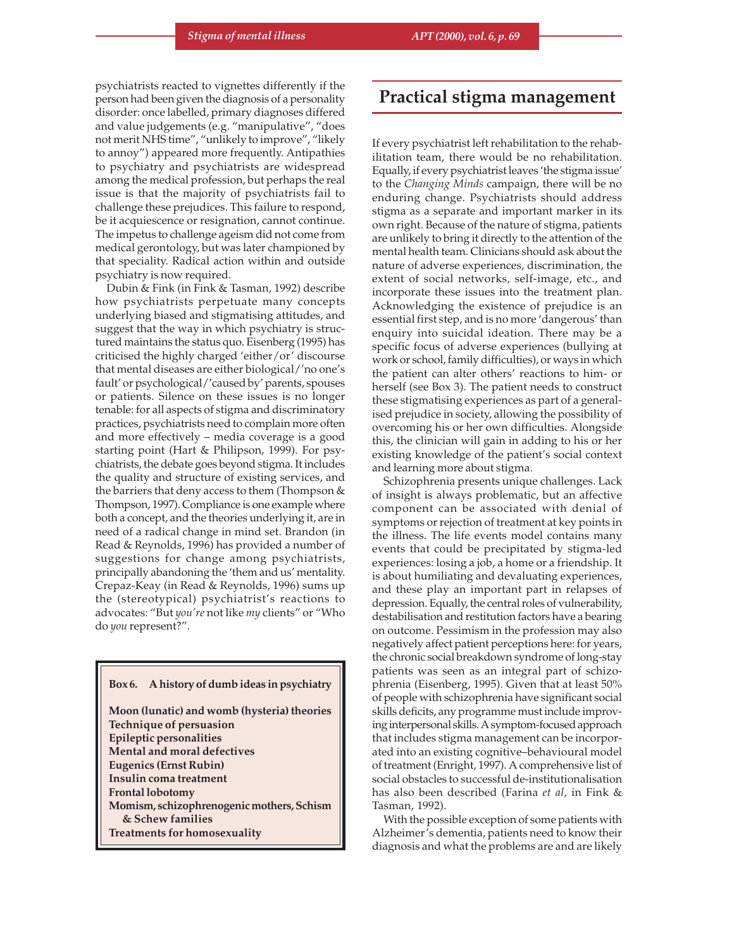psychiatrists reacted to vignettes differently if the person had been given the diagnosis of a personality disorder: once labelled, primary diagnoses differed and value judgements (e.g. "manipulative", "does not merit NHS time", "unlikely to improve", "likely to annoy") appeared more frequently. Antipathies to psychiatry and psychiatrists are widespread among the medical profession, but perhaps the real issue is that the majority of psychiatrists fail to challenge these prejudices. This failure to respond, be it acquiescence or resignation, cannot continue. The impetus to challenge ageism did not come from medical gerontology, but was later championed by that speciality. Radical action within and outside psychiatry is now required.

Dubin & Fink (in Fink & Tasman, 1992) describe how psychiatrists perpetuate many concepts underlying biased and stigmatising attitudes, and suggest that the way in which psychiatry is structured maintains the status quo. Eisenberg (1995) has criticised the highly charged 'either/or' discourse that mental diseases are either biological/'no one's fault' or psychological/'caused by' parents, spouses or patients. Silence on these issues is no longer tenable: for all aspects of stigma and discriminatory practices, psychiatrists need to complain more often and more effectively – media coverage is a good starting point (Hart & Philipson, 1999). For psychiatrists, the debate goes beyond stigma. It includes the quality and structure of existing services, and the barriers that deny access to them (Thompson & Thompson, 1997). Compliance is one example where both a concept, and the theories underlying it, are in need of a radical change in mind set. Brandon (in Read & Reynolds, 1996) has provided a number of suggestions for change among psychiatrists, principally abandoning the 'them and us' mentality. Crepaz-Keay (in Read & Reynolds, 1996) sums up the (stereotypical) psychiatrist's reactions to advocates: "But *you're* not like *my* clients" or "Who do *you* represent?".

#### **Moon (lunatic) and womb (hysteria) theories Technique of persuasion Epileptic personalities Mental and moral defectives Eugenics (Ernst Rubin) Insulin coma treatment Frontal lobotomy Momism, schizophrenogenic mothers, Schism & Schew families Treatments for homosexuality**

**Box 6. A history of dumb ideas in psychiatry**

### **Practical stigma management**

If every psychiatrist left rehabilitation to the rehabilitation team, there would be no rehabilitation. Equally, if every psychiatrist leaves 'the stigma issue' to the *Changing Minds* campaign, there will be no enduring change. Psychiatrists should address stigma as a separate and important marker in its own right. Because of the nature of stigma, patients are unlikely to bring it directly to the attention of the mental health team. Clinicians should ask about the nature of adverse experiences, discrimination, the extent of social networks, self-image, etc., and incorporate these issues into the treatment plan. Acknowledging the existence of prejudice is an essential first step, and is no more 'dangerous' than enquiry into suicidal ideation. There may be a specific focus of adverse experiences (bullying at work or school, family difficulties), or ways in which the patient can alter others' reactions to him- or herself (see Box 3). The patient needs to construct these stigmatising experiences as part of a generalised prejudice in society, allowing the possibility of overcoming his or her own difficulties. Alongside this, the clinician will gain in adding to his or her existing knowledge of the patient's social context and learning more about stigma.

Schizophrenia presents unique challenges. Lack of insight is always problematic, but an affective component can be associated with denial of symptoms or rejection of treatment at key points in the illness. The life events model contains many events that could be precipitated by stigma-led experiences: losing a job, a home or a friendship. It is about humiliating and devaluating experiences, and these play an important part in relapses of depression. Equally, the central roles of vulnerability, destabilisation and restitution factors have a bearing on outcome. Pessimism in the profession may also negatively affect patient perceptions here: for years, the chronic social breakdown syndrome of long-stay patients was seen as an integral part of schizophrenia (Eisenberg, 1995). Given that at least 50% of people with schizophrenia have significant social skills deficits, any programme must include improving interpersonal skills. A symptom-focused approach that includes stigma management can be incorporated into an existing cognitive–behavioural model of treatment (Enright, 1997). A comprehensive list of social obstacles to successful de-institutionalisation has also been described (Farina *et al*, in Fink & Tasman, 1992).

With the possible exception of some patients with Alzheimer's dementia, patients need to know their diagnosis and what the problems are and are likely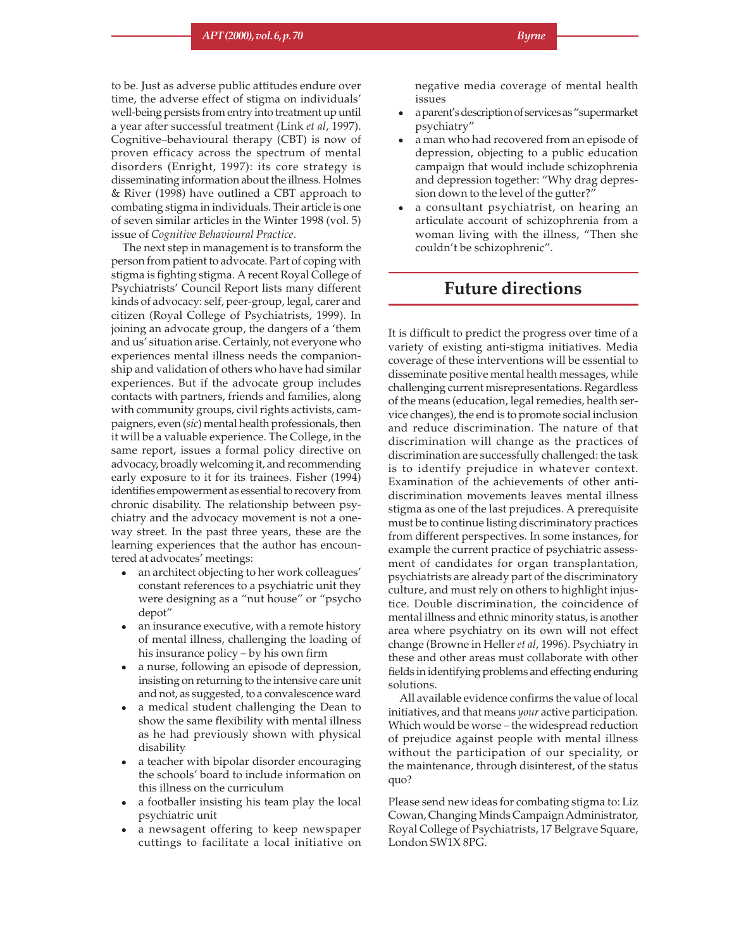to be. Just as adverse public attitudes endure over time, the adverse effect of stigma on individuals' well-being persists from entry into treatment up until a year after successful treatment (Link *et al*, 1997). Cognitive–behavioural therapy (CBT) is now of proven efficacy across the spectrum of mental disorders (Enright, 1997): its core strategy is disseminating information about the illness. Holmes & River (1998) have outlined a CBT approach to combating stigma in individuals. Their article is one of seven similar articles in the Winter 1998 (vol. 5) issue of *Cognitive Behavioural Practice*.

The next step in management is to transform the person from patient to advocate. Part of coping with stigma is fighting stigma. A recent Royal College of Psychiatrists' Council Report lists many different kinds of advocacy: self, peer-group, legal, carer and citizen (Royal College of Psychiatrists, 1999). In joining an advocate group, the dangers of a 'them and us' situation arise. Certainly, not everyone who experiences mental illness needs the companionship and validation of others who have had similar experiences. But if the advocate group includes contacts with partners, friends and families, along with community groups, civil rights activists, campaigners, even (*sic*) mental health professionals, then it will be a valuable experience. The College, in the same report, issues a formal policy directive on advocacy, broadly welcoming it, and recommending early exposure to it for its trainees. Fisher (1994) identifies empowerment as essential to recovery from chronic disability. The relationship between psychiatry and the advocacy movement is not a oneway street. In the past three years, these are the learning experiences that the author has encountered at advocates' meetings:

- an architect objecting to her work colleagues' constant references to a psychiatric unit they were designing as a "nut house" or "psycho depot"
- an insurance executive, with a remote history of mental illness, challenging the loading of his insurance policy – by his own firm
- a nurse, following an episode of depression, insisting on returning to the intensive care unit and not, as suggested, to a convalescence ward
- a medical student challenging the Dean to show the same flexibility with mental illness as he had previously shown with physical disability
- a teacher with bipolar disorder encouraging the schools' board to include information on this illness on the curriculum
- a footballer insisting his team play the local psychiatric unit
- a newsagent offering to keep newspaper cuttings to facilitate a local initiative on

negative media coverage of mental health issues

- a parent's description of services as "supermarket psychiatry"
- a man who had recovered from an episode of depression, objecting to a public education campaign that would include schizophrenia and depression together: "Why drag depression down to the level of the gutter?"
- a consultant psychiatrist, on hearing an articulate account of schizophrenia from a woman living with the illness, "Then she couldn't be schizophrenic".

#### **Future directions**

It is difficult to predict the progress over time of a variety of existing anti-stigma initiatives. Media coverage of these interventions will be essential to disseminate positive mental health messages, while challenging current misrepresentations. Regardless of the means (education, legal remedies, health service changes), the end is to promote social inclusion and reduce discrimination. The nature of that discrimination will change as the practices of discrimination are successfully challenged: the task is to identify prejudice in whatever context. Examination of the achievements of other antidiscrimination movements leaves mental illness stigma as one of the last prejudices. A prerequisite must be to continue listing discriminatory practices from different perspectives. In some instances, for example the current practice of psychiatric assessment of candidates for organ transplantation, psychiatrists are already part of the discriminatory culture, and must rely on others to highlight injustice. Double discrimination, the coincidence of mental illness and ethnic minority status, is another area where psychiatry on its own will not effect change (Browne in Heller *et al*, 1996). Psychiatry in these and other areas must collaborate with other fields in identifying problems and effecting enduring solutions.

All available evidence confirms the value of local initiatives, and that means *your* active participation. Which would be worse – the widespread reduction of prejudice against people with mental illness without the participation of our speciality, or the maintenance, through disinterest, of the status quo?

Please send new ideas for combating stigma to: Liz Cowan, Changing Minds Campaign Administrator, Royal College of Psychiatrists, 17 Belgrave Square, London SW1X 8PG.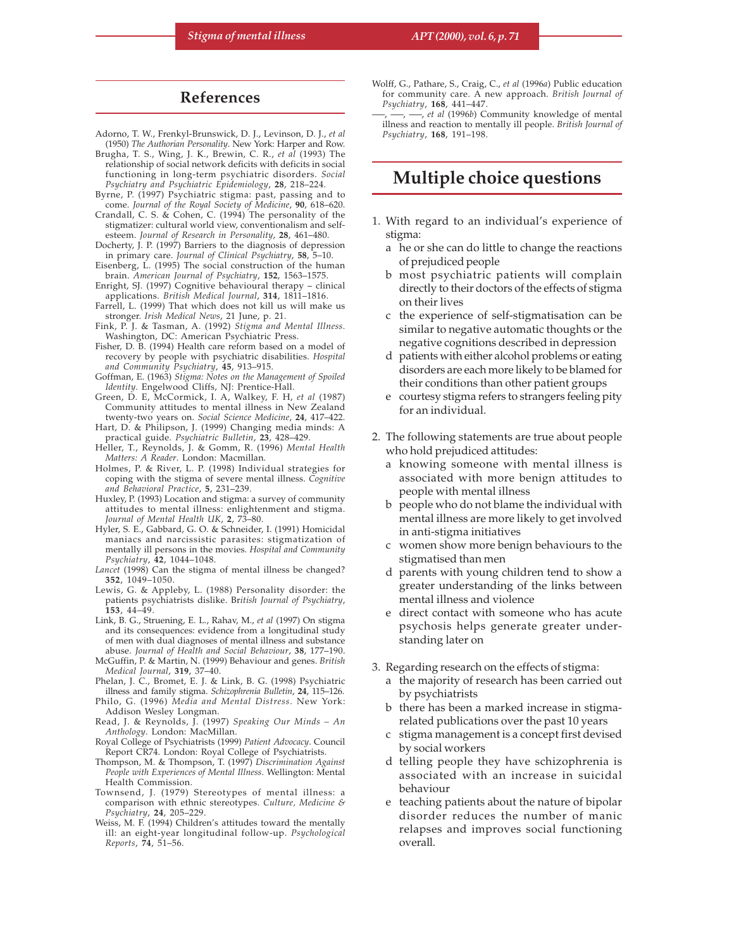#### *Stigma of mental illness APT (2000), vol. 6, p. 71*

#### **References**

- Adorno, T. W., Frenkyl-Brunswick, D. J., Levinson, D. J., *et al*
- (1950) *The Authorian Personality*. New York: Harper and Row. Brugha, T. S., Wing, J. K., Brewin, C. R., *et al* (1993) The relationship of social network deficits with deficits in social functioning in long-term psychiatric disorders. *Social Psychiatry and Psychiatric Epidemiology*, **28**, 218–224.
- Byrne, P. (1997) Psychiatric stigma: past, passing and to come. *Journal of the Royal Society of Medicine*, **90**, 618–620.
- Crandall, C. S. & Cohen, C. (1994) The personality of the stigmatizer: cultural world view, conventionalism and selfesteem. *Journal of Research in Personality*, **28**, 461–480.
- Docherty, J. P. (1997) Barriers to the diagnosis of depression in primary care. *Journal of Clinical Psychiatry*, **58**, 5–10.
- Eisenberg, L. (1995) The social construction of the human brain. *American Journal of Psychiatry*, **152**, 1563–1575.
- Enright, SJ. (1997) Cognitive behavioural therapy clinical applications. *British Medical Journal*, **314**, 1811–1816.
- Farrell, L. (1999) That which does not kill us will make us stronger. *Irish Medical News*, 21 June, p. 21.
- Fink, P. J. & Tasman, A. (1992) *Stigma and Mental Illness.* Washington, DC: American Psychiatric Press.
- Fisher, D. B. (1994) Health care reform based on a model of recovery by people with psychiatric disabilities. *Hospital and Community Psychiatry*, **45**, 913–915.
- Goffman, E. (1963) *Stigma: Notes on the Management of Spoiled Identity*. Engelwood Cliffs, NJ: Prentice-Hall.
- Green, D. E, McCormick, I. A, Walkey, F. H, *et al* (1987) Community attitudes to mental illness in New Zealand twenty-two years on. *Social Science Medicine*, **24**, 417–422.
- Hart, D. & Philipson, J. (1999) Changing media minds: A practical guide. *Psychiatric Bulletin*, **23**, 428–429.
- Heller, T., Reynolds, J. & Gomm, R. (1996) *Mental Health Matters: A Reader*. London: Macmillan.
- Holmes, P. & River, L. P. (1998) Individual strategies for coping with the stigma of severe mental illness. *Cognitive and Behavioral Practice*, **5**, 231–239.
- Huxley, P. (1993) Location and stigma: a survey of community attitudes to mental illness: enlightenment and stigma. *Journal of Mental Health UK*, **2**, 73–80.
- Hyler, S. E., Gabbard, G. O. & Schneider, I. (1991) Homicidal maniacs and narcissistic parasites: stigmatization of mentally ill persons in the movies. *Hospital and Community Psychiatry*, **42**, 1044–1048.
- *Lancet* (1998) Can the stigma of mental illness be changed? **352**, 1049–1050.
- Lewis, G. & Appleby, L. (1988) Personality disorder: the patients psychiatrists dislike. Br*itish Journal of Psychiatry*, **153**, 44–49.
- Link, B. G., Struening, E. L., Rahav, M., *et al* (1997) On stigma and its consequences: evidence from a longitudinal study of men with dual diagnoses of mental illness and substance abuse. *Journal of Health and Social Behaviour*, **38**, 177–190.
- McGuffin, P. & Martin, N. (1999) Behaviour and genes. *British Medical Journal*, **319**, 37–40.
- Phelan, J. C., Bromet, E. J. & Link, B. G. (1998) Psychiatric illness and family stigma. *Schizophrenia Bulletin*, **24**, 115–126.
- Philo, G. (1996) *Media and Mental Distress*. New York: Addison Wesley Longman.
- Read, J. & Reynolds, J. (1997) *Speaking Our Minds An Anthology*. London: MacMillan.
- Royal College of Psychiatrists (1999) *Patient Advocacy*. Council Report CR74. London: Royal College of Psychiatrists.
- Thompson, M. & Thompson, T. (1997) *Discrimination Against People with Experiences of Mental Illness*. Wellington: Mental Health Commission.
- Townsend, J. (1979) Stereotypes of mental illness: a comparison with ethnic stereotypes. *Culture, Medicine & Psychiatry*, **24**, 205–229.
- Weiss, M. F. (1994) Children's attitudes toward the mentally ill: an eight-year longitudinal follow-up. *Psychological Reports*, **74**, 51–56.
- Wolff, G., Pathare, S., Craig, C., *et al* (1996*a*) Public education for community care. A new approach. *British Journal of Psychiatry*, **168**, 441–447.
- –––, –––, –––, *et al* (1996*b*) Community knowledge of mental illness and reaction to mentally ill people. *British Journal of Psychiatry*, **168**, 191–198.

#### **Multiple choice questions**

- 1. With regard to an individual's experience of stigma:
	- a he or she can do little to change the reactions of prejudiced people
	- b most psychiatric patients will complain directly to their doctors of the effects of stigma on their lives
	- the experience of self-stigmatisation can be similar to negative automatic thoughts or the negative cognitions described in depression
	- d patients with either alcohol problems or eating disorders are each more likely to be blamed for their conditions than other patient groups
	- e courtesy stigma refers to strangers feeling pity for an individual.
- 2. The following statements are true about people who hold prejudiced attitudes:
	- a knowing someone with mental illness is associated with more benign attitudes to people with mental illness
	- b people who do not blame the individual with mental illness are more likely to get involved in anti-stigma initiatives
	- c women show more benign behaviours to the stigmatised than men
	- d parents with young children tend to show a greater understanding of the links between mental illness and violence
	- e direct contact with someone who has acute psychosis helps generate greater understanding later on
- 3. Regarding research on the effects of stigma:
	- a the majority of research has been carried out by psychiatrists
	- b there has been a marked increase in stigmarelated publications over the past 10 years
	- c stigma management is a concept first devised by social workers
	- d telling people they have schizophrenia is associated with an increase in suicidal behaviour
	- e teaching patients about the nature of bipolar disorder reduces the number of manic relapses and improves social functioning overall.